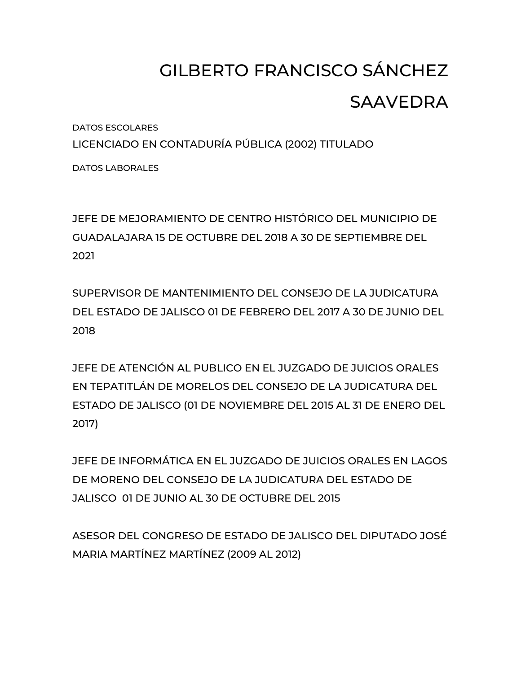## GILBERTO FRANCISCO SÁNCHEZ SAAVEDRA

DATOS ESCOLARES

LICENCIADO EN CONTADURÍA PÚBLICA (2002) TITULADO

DATOS LABORALES

JEFE DE MEJORAMIENTO DE CENTRO HISTÓRICO DEL MUNICIPIO DE GUADALAJARA 15 DE OCTUBRE DEL 2018 A 30 DE SEPTIEMBRE DEL 2021

SUPERVISOR DE MANTENIMIENTO DEL CONSEJO DE LA JUDICATURA DEL ESTADO DE JALISCO 01 DE FEBRERO DEL 2017 A 30 DE JUNIO DEL 2018

JEFE DE ATENCIÓN AL PUBLICO EN EL JUZGADO DE JUICIOS ORALES EN TEPATITLÁN DE MORELOS DEL CONSEJO DE LA JUDICATURA DEL ESTADO DE JALISCO (01 DE NOVIEMBRE DEL 2015 AL 31 DE ENERO DEL 2017)

JEFE DE INFORMÁTICA EN EL JUZGADO DE JUICIOS ORALES EN LAGOS DE MORENO DEL CONSEJO DE LA JUDICATURA DEL ESTADO DE JALISCO 01 DE JUNIO AL 30 DE OCTUBRE DEL 2015

ASESOR DEL CONGRESO DE ESTADO DE JALISCO DEL DIPUTADO JOSÉ MARIA MARTÍNEZ MARTÍNEZ (2009 AL 2012)